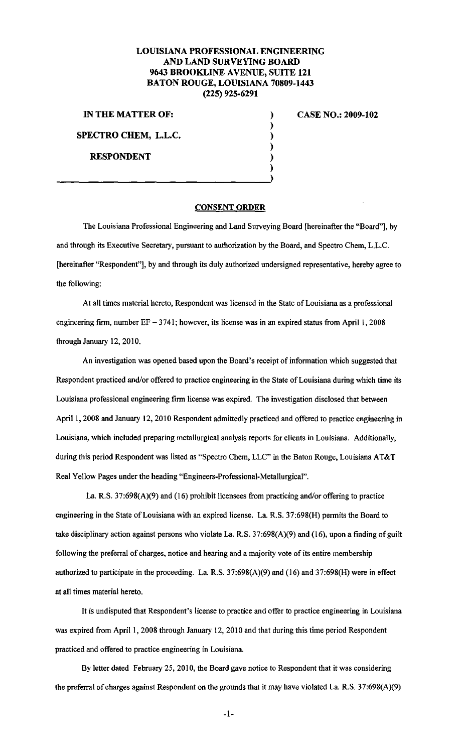## **LOUISIANA PROFESSIONAL ENGINEERING AND LAND SURVEYING BOARD 9643 BROOKLINE AVENUE, SUITE 121 BATON ROUGE, LOUISIANA 70809-1443 (225) 925-6291**

) ) ) ) ) )

**IN THE MATTER OF:** 

**SPECTRO CHEM, L.L.C.** 

**RESPONDENT** 

**CASE NO.: 2009-102** 

## **CONSENT ORDER**

The Louisiana Professional Engineering and Land Surveying Board (hereinafter the "Board"], by and through its Executive Secretary, pursuant to authorization by the Board, and Spectro Chem, L.L.C. [hereinafter "Respondent"], by and through its duly authorized undersigned representative, hereby agree to the following:

At all times material hereto, Respondent was licensed in the State of Louisiana as a professional engineering firm, number  $EF - 3741$ ; however, its license was in an expired status from April 1, 2008 through January 12,2010.

An investigation was opened based upon the Board's receipt of information which suggested that Respondent practiced and/or offered to practice engineering in the State of Louisiana during which time its Louisiana professional engineering firm license was expired. The investigation disclosed that between April 1, 2008 and January 12, 2010 Respondent admittedly practiced and offered to practice engineering in Louisiana, which included preparing metallurgical analysis reports for clients in Louisiana. Additionally, during this period Respondent was listed as "Spectro Chern, LLC" in the Baton Rouge, Louisiana AT&T Real Yellow Pages under the heading "Engineers-Professional-Metallurgical".

La. R.S. 37:698(A)(9) and (16) prohibit licensees from practicing and/or offering to practice engineering in the State of Louisiana with an expired license. La. R.S. 37:698(H) permits the Board to take disciplinary action against persons who violate La. R.S. 37:698(A)(9) and (16), upon a finding of guilt following the preferral of charges, notice and hearing and a majority vote of its entire membership authorized to participate in the proceeding. La. R.S. 37:698(A)(9) and (16) and 37:698(H) were in effect at all times material hereto.

It is undisputed that Respondent's license to practice and offer to practice engineering in Louisiana was expired from April 1, 2008 through January 12, 2010 and that during this time period Respondent practiced and offered to practice engineering in Louisiana.

By letter dated February 25, 2010, the Board gave notice to Respondent that it was considering the preferral of charges against Respondent on the grounds that it may have violated La. R.S. 37:698(A)(9)

**-1-**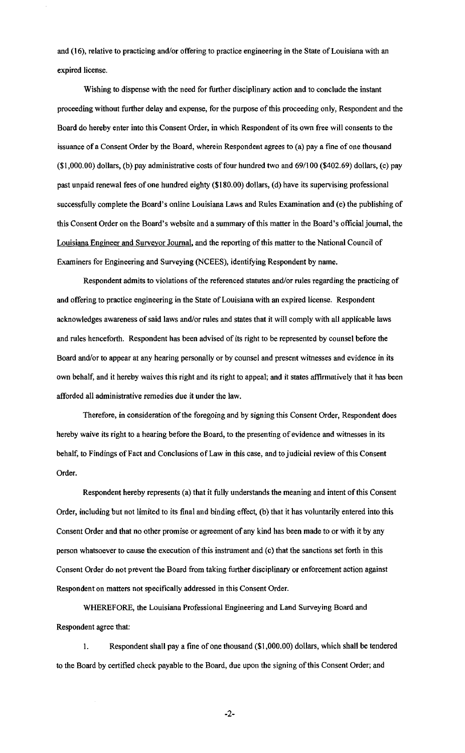and (16), relative to practicing and/or offering to practice engineering in the State of Louisiana with an expired license.

Wishing to dispense with the need for further disciplinary action and to conclude the instant proceeding without further delay and expense, for the purpose of this proceeding only, Respondent and the Board do hereby enter into this Consent Order, in which Respondent of its own free will consents to the issuance of a Consent Order by the Board, wherein Respondent agrees to (a) pay a fine of one thousand (\$1,000.00) dollars, (b) pay administrative costs of four hundred two and 69/100 (\$402.69) dollars, (c) pay past unpaid renewal fees of one hundred eighty (\$180.00) dollars, (d) have its supervising professional successfully complete the Board's online Louisiana Laws and Rules Examination and (e) the publishing of this Consent Order on the Board's website and a summary of this matter in the Board's official journal, the Louisiana Engineer and Surveyor Journal, and the reporting of this matter to the National Council of Examiners for Engineering and Surveying (NCEES), identifying Respondent by name.

Respondent admits to violations of the referenced statutes and/or rules regarding the practicing of and offering to practice engineering in the State of Louisiana with an expired license. Respondent acknowledges awareness of said laws and/or rules and states that it will comply with all applicable laws and rules henceforth. Respondent has been advised of its right to be represented by counsel before the Board and/or to appear at any hearing personally or by counsel and present witnesses and evidence in its own behalf, and it hereby waives this right and its right to appeal; and it states affirmatively that it has been afforded all administrative remedies due it under the law.

Therefore, in consideration of the foregoing and by signing this Consent Order, Respondent does hereby waive its right to a hearing before the Board, to the presenting of evidence and witnesses in its behalf, to Findings of Fact and Conclusions of Law in this case, and to judicial review of this Consent Order.

Respondent hereby represents (a) that it fully understands the meaning and intent of this Consent Order, including but not limited to its final and binding effect, (b) that it has voluntarily entered into this Consent Order and that no other promise or agreement of any kind has been made to or with it by any person whatsoever to cause the execution of this instrument and (c) that the sanctions set forth in this Consent Order do not prevent the Board from taking further disciplinary or enforcement action against Respondent on matters not specifically addressed in this Consent Order.

WHEREFORE, the Louisiana Professional Engineering and Land Surveying Board and Respondent agree that:

I. Respondent shall pay a fine of one thousand (\$1,000.00) dollars, which shall be tendered to the Board by certified check payable to the Board, due upon the signing ofthis Consent Order; and

-2-